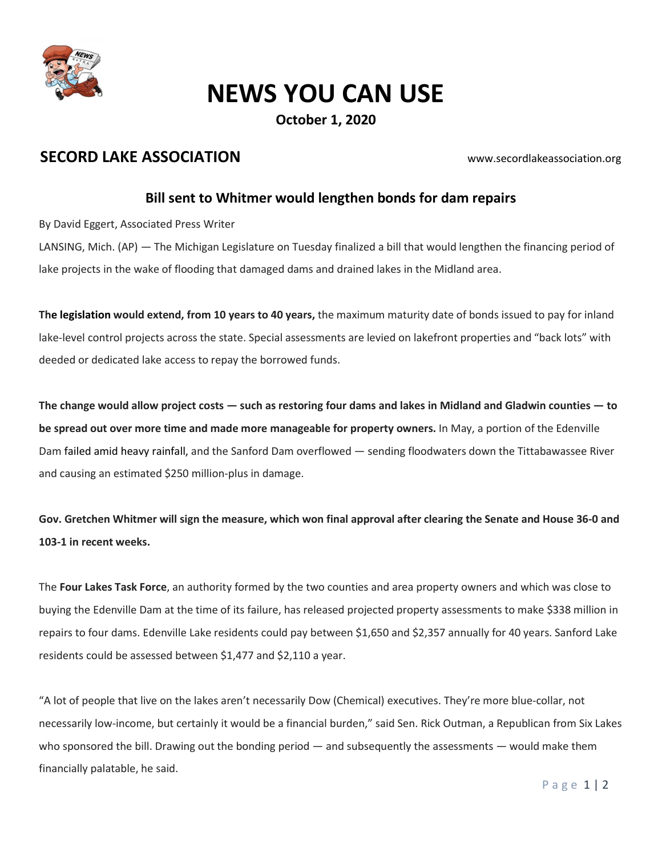

## NEWS YOU CAN USE

October 1, 2020

### SECORD LAKE ASSOCIATION WWW.secordlakeassociation.org

#### Bill sent to Whitmer would lengthen bonds for dam repairs

By David Eggert, Associated Press Writer

LANSING, Mich. (AP) — The Michigan Legislature on Tuesday finalized a bill that would lengthen the financing period of lake projects in the wake of flooding that damaged dams and drained lakes in the Midland area.

The legislation would extend, from 10 years to 40 years, the maximum maturity date of bonds issued to pay for inland lake-level control projects across the state. Special assessments are levied on lakefront properties and "back lots" with deeded or dedicated lake access to repay the borrowed funds.

The change would allow project costs — such as restoring four dams and lakes in Midland and Gladwin counties — to be spread out over more time and made more manageable for property owners. In May, a portion of the Edenville Dam failed amid heavy rainfall, and the Sanford Dam overflowed — sending floodwaters down the Tittabawassee River and causing an estimated \$250 million-plus in damage.

Gov. Gretchen Whitmer will sign the measure, which won final approval after clearing the Senate and House 36-0 and 103-1 in recent weeks.

The Four Lakes Task Force, an authority formed by the two counties and area property owners and which was close to buying the Edenville Dam at the time of its failure, has released projected property assessments to make \$338 million in repairs to four dams. Edenville Lake residents could pay between \$1,650 and \$2,357 annually for 40 years. Sanford Lake residents could be assessed between \$1,477 and \$2,110 a year.

"A lot of people that live on the lakes aren't necessarily Dow (Chemical) executives. They're more blue-collar, not necessarily low-income, but certainly it would be a financial burden," said Sen. Rick Outman, a Republican from Six Lakes who sponsored the bill. Drawing out the bonding period — and subsequently the assessments — would make them financially palatable, he said.